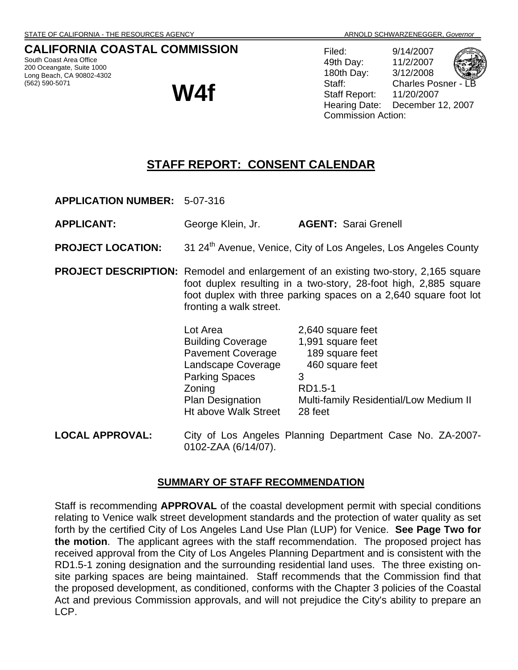## **CALIFORNIA COASTAL COMMISSION**

South Coast Area Office 200 Oceangate, Suite 1000 Long Beach, CA 90802-4302 (562) 590-5071

# **W4f**

Filed: 9/14/2007 49th Day: 11/2/2007 180th Day: 3/12/2008 Staff: Charles Posner Staff Report: 11/20/2007 Hearing Date: December 12, 2007 Commission Action:

## **STAFF REPORT: CONSENT CALENDAR**

**APPLICATION NUMBER:** 5-07-316

**APPLICANT:** George Klein, Jr. **AGENT:** Sarai Grenell

**PROJECT LOCATION:** 31 24<sup>th</sup> Avenue, Venice, City of Los Angeles, Los Angeles County

**PROJECT DESCRIPTION:** Remodel and enlargement of an existing two-story, 2,165 square foot duplex resulting in a two-story, 28-foot high, 2,885 square foot duplex with three parking spaces on a 2,640 square foot lot fronting a walk street.

| Lot Area                 | 2,640 square feet                      |
|--------------------------|----------------------------------------|
| <b>Building Coverage</b> | 1,991 square feet                      |
| <b>Pavement Coverage</b> | 189 square feet                        |
| Landscape Coverage       | 460 square feet                        |
| <b>Parking Spaces</b>    | 3                                      |
| Zoning                   | RD1.5-1                                |
| <b>Plan Designation</b>  | Multi-family Residential/Low Medium II |
| Ht above Walk Street     | 28 feet                                |
|                          |                                        |

**LOCAL APPROVAL:** City of Los Angeles Planning Department Case No. ZA-2007- 0102-ZAA (6/14/07).

#### **SUMMARY OF STAFF RECOMMENDATION**

Staff is recommending **APPROVAL** of the coastal development permit with special conditions relating to Venice walk street development standards and the protection of water quality as set forth by the certified City of Los Angeles Land Use Plan (LUP) for Venice. **See Page Two for the motion**. The applicant agrees with the staff recommendation. The proposed project has received approval from the City of Los Angeles Planning Department and is consistent with the RD1.5-1 zoning designation and the surrounding residential land uses. The three existing onsite parking spaces are being maintained. Staff recommends that the Commission find that the proposed development, as conditioned, conforms with the Chapter 3 policies of the Coastal Act and previous Commission approvals, and will not prejudice the City's ability to prepare an LCP.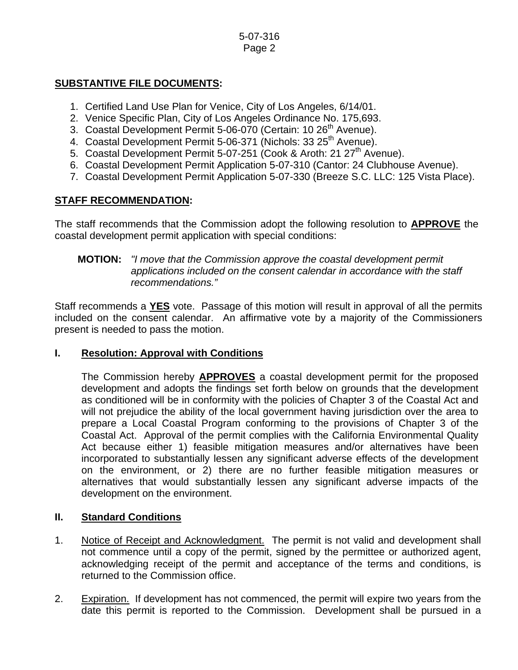#### 5-07-316 Page 2

## **SUBSTANTIVE FILE DOCUMENTS:**

- 1. Certified Land Use Plan for Venice, City of Los Angeles, 6/14/01.
- 2. Venice Specific Plan, City of Los Angeles Ordinance No. 175,693.
- 3. Coastal Development Permit 5-06-070 (Certain: 10 26<sup>th</sup> Avenue).
- 4. Coastal Development Permit 5-06-371 (Nichols: 33 25<sup>th</sup> Avenue).
- 5. Coastal Development Permit 5-07-251 (Cook & Aroth: 21 27<sup>th</sup> Avenue).
- 6. Coastal Development Permit Application 5-07-310 (Cantor: 24 Clubhouse Avenue).
- 7. Coastal Development Permit Application 5-07-330 (Breeze S.C. LLC: 125 Vista Place).

## **STAFF RECOMMENDATION:**

The staff recommends that the Commission adopt the following resolution to **APPROVE** the coastal development permit application with special conditions:

### **MOTION:** *"I move that the Commission approve the coastal development permit applications included on the consent calendar in accordance with the staff recommendations."*

Staff recommends a **YES** vote. Passage of this motion will result in approval of all the permits included on the consent calendar. An affirmative vote by a majority of the Commissioners present is needed to pass the motion.

## **I. Resolution: Approval with Conditions**

The Commission hereby **APPROVES** a coastal development permit for the proposed development and adopts the findings set forth below on grounds that the development as conditioned will be in conformity with the policies of Chapter 3 of the Coastal Act and will not prejudice the ability of the local government having jurisdiction over the area to prepare a Local Coastal Program conforming to the provisions of Chapter 3 of the Coastal Act. Approval of the permit complies with the California Environmental Quality Act because either 1) feasible mitigation measures and/or alternatives have been incorporated to substantially lessen any significant adverse effects of the development on the environment, or 2) there are no further feasible mitigation measures or alternatives that would substantially lessen any significant adverse impacts of the development on the environment.

## **II. Standard Conditions**

- 1. Notice of Receipt and Acknowledgment. The permit is not valid and development shall not commence until a copy of the permit, signed by the permittee or authorized agent, acknowledging receipt of the permit and acceptance of the terms and conditions, is returned to the Commission office.
- 2. Expiration. If development has not commenced, the permit will expire two years from the date this permit is reported to the Commission. Development shall be pursued in a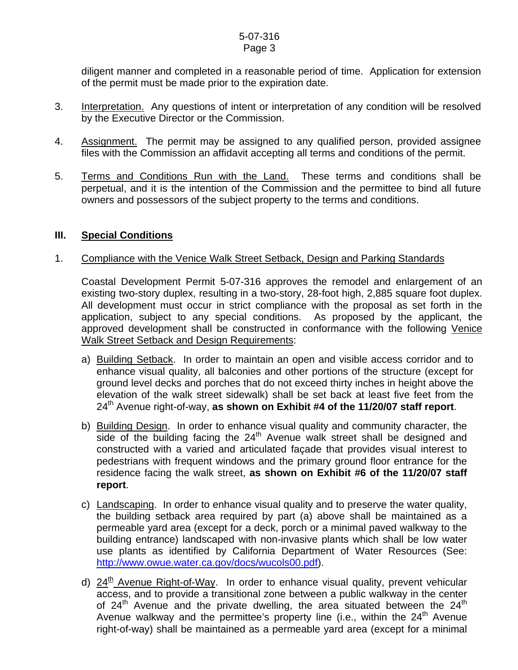diligent manner and completed in a reasonable period of time. Application for extension of the permit must be made prior to the expiration date.

- 3. Interpretation. Any questions of intent or interpretation of any condition will be resolved by the Executive Director or the Commission.
- 4. Assignment. The permit may be assigned to any qualified person, provided assignee files with the Commission an affidavit accepting all terms and conditions of the permit.
- 5. Terms and Conditions Run with the Land. These terms and conditions shall be perpetual, and it is the intention of the Commission and the permittee to bind all future owners and possessors of the subject property to the terms and conditions.

## **III. Special Conditions**

### 1. Compliance with the Venice Walk Street Setback, Design and Parking Standards

 Coastal Development Permit 5-07-316 approves the remodel and enlargement of an existing two-story duplex, resulting in a two-story, 28-foot high, 2,885 square foot duplex. All development must occur in strict compliance with the proposal as set forth in the application, subject to any special conditions. As proposed by the applicant, the approved development shall be constructed in conformance with the following Venice Walk Street Setback and Design Requirements:

- a) Building Setback. In order to maintain an open and visible access corridor and to enhance visual quality, all balconies and other portions of the structure (except for ground level decks and porches that do not exceed thirty inches in height above the elevation of the walk street sidewalk) shall be set back at least five feet from the 24<sup>th</sup> Avenue right-of-way, as shown on Exhibit #4 of the 11/20/07 staff report.
- b) Building Design. In order to enhance visual quality and community character, the side of the building facing the  $24<sup>th</sup>$  Avenue walk street shall be designed and constructed with a varied and articulated façade that provides visual interest to pedestrians with frequent windows and the primary ground floor entrance for the residence facing the walk street, **as shown on Exhibit #6 of the 11/20/07 staff report**.
- c) Landscaping. In order to enhance visual quality and to preserve the water quality, the building setback area required by part (a) above shall be maintained as a permeable yard area (except for a deck, porch or a minimal paved walkway to the building entrance) landscaped with non-invasive plants which shall be low water use plants as identified by California Department of Water Resources (See: [http://www.owue.water.ca.gov/docs/wucols00.pdf\)](http://www.owue.water.ca.gov/docs/wucols00.pdf).
- d)  $24<sup>th</sup>$  Avenue Right-of-Way. In order to enhance visual quality, prevent vehicular access, and to provide a transitional zone between a public walkway in the center of 24<sup>th</sup> Avenue and the private dwelling, the area situated between the 24<sup>th</sup> Avenue walkway and the permittee's property line (i.e., within the  $24<sup>th</sup>$  Avenue right-of-way) shall be maintained as a permeable yard area (except for a minimal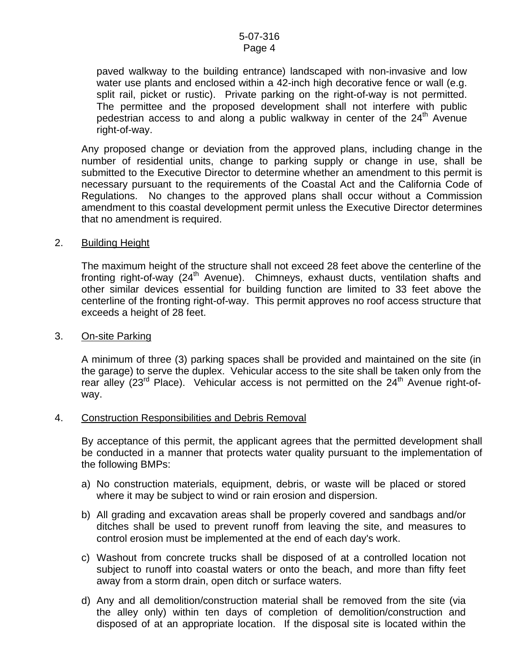#### 5-07-316 Page 4

paved walkway to the building entrance) landscaped with non-invasive and low water use plants and enclosed within a 42-inch high decorative fence or wall (e.g. split rail, picket or rustic). Private parking on the right-of-way is not permitted. The permittee and the proposed development shall not interfere with public pedestrian access to and along a public walkway in center of the  $24<sup>th</sup>$  Avenue right-of-way.

Any proposed change or deviation from the approved plans, including change in the number of residential units, change to parking supply or change in use, shall be submitted to the Executive Director to determine whether an amendment to this permit is necessary pursuant to the requirements of the Coastal Act and the California Code of Regulations. No changes to the approved plans shall occur without a Commission amendment to this coastal development permit unless the Executive Director determines that no amendment is required.

#### 2. Building Height

The maximum height of the structure shall not exceed 28 feet above the centerline of the fronting right-of-way (24<sup>th</sup> Avenue). Chimneys, exhaust ducts, ventilation shafts and other similar devices essential for building function are limited to 33 feet above the centerline of the fronting right-of-way. This permit approves no roof access structure that exceeds a height of 28 feet.

#### 3. On-site Parking

A minimum of three (3) parking spaces shall be provided and maintained on the site (in the garage) to serve the duplex. Vehicular access to the site shall be taken only from the rear alley  $(23^{rd}$  Place). Vehicular access is not permitted on the  $24^{th}$  Avenue right-ofway.

#### 4. Construction Responsibilities and Debris Removal

By acceptance of this permit, the applicant agrees that the permitted development shall be conducted in a manner that protects water quality pursuant to the implementation of the following BMPs:

- a) No construction materials, equipment, debris, or waste will be placed or stored where it may be subject to wind or rain erosion and dispersion.
- b) All grading and excavation areas shall be properly covered and sandbags and/or ditches shall be used to prevent runoff from leaving the site, and measures to control erosion must be implemented at the end of each day's work.
- c) Washout from concrete trucks shall be disposed of at a controlled location not subject to runoff into coastal waters or onto the beach, and more than fifty feet away from a storm drain, open ditch or surface waters.
- d) Any and all demolition/construction material shall be removed from the site (via the alley only) within ten days of completion of demolition/construction and disposed of at an appropriate location. If the disposal site is located within the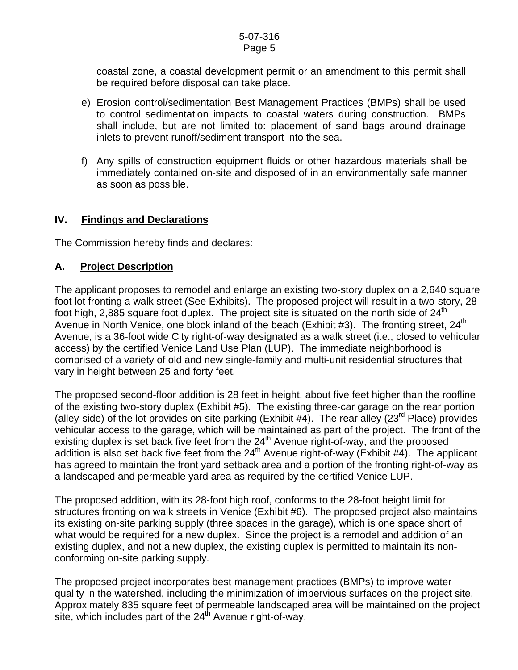#### 5-07-316 Page 5

coastal zone, a coastal development permit or an amendment to this permit shall be required before disposal can take place.

- e) Erosion control/sedimentation Best Management Practices (BMPs) shall be used to control sedimentation impacts to coastal waters during construction. BMPs shall include, but are not limited to: placement of sand bags around drainage inlets to prevent runoff/sediment transport into the sea.
- f) Any spills of construction equipment fluids or other hazardous materials shall be immediately contained on-site and disposed of in an environmentally safe manner as soon as possible.

## **IV. Findings and Declarations**

The Commission hereby finds and declares:

## **A. Project Description**

The applicant proposes to remodel and enlarge an existing two-story duplex on a 2,640 square foot lot fronting a walk street (See Exhibits). The proposed project will result in a two-story, 28 foot high, 2,885 square foot duplex. The project site is situated on the north side of  $24<sup>th</sup>$ Avenue in North Venice, one block inland of the beach (Exhibit #3). The fronting street,  $24<sup>th</sup>$ Avenue, is a 36-foot wide City right-of-way designated as a walk street (i.e., closed to vehicular access) by the certified Venice Land Use Plan (LUP). The immediate neighborhood is comprised of a variety of old and new single-family and multi-unit residential structures that vary in height between 25 and forty feet.

The proposed second-floor addition is 28 feet in height, about five feet higher than the roofline of the existing two-story duplex (Exhibit #5). The existing three-car garage on the rear portion (alley-side) of the lot provides on-site parking (Exhibit #4). The rear alley (23<sup>rd</sup> Place) provides vehicular access to the garage, which will be maintained as part of the project. The front of the existing duplex is set back five feet from the 24<sup>th</sup> Avenue right-of-way, and the proposed addition is also set back five feet from the  $24<sup>th</sup>$  Avenue right-of-way (Exhibit #4). The applicant has agreed to maintain the front yard setback area and a portion of the fronting right-of-way as a landscaped and permeable yard area as required by the certified Venice LUP.

The proposed addition, with its 28-foot high roof, conforms to the 28-foot height limit for structures fronting on walk streets in Venice (Exhibit #6). The proposed project also maintains its existing on-site parking supply (three spaces in the garage), which is one space short of what would be required for a new duplex. Since the project is a remodel and addition of an existing duplex, and not a new duplex, the existing duplex is permitted to maintain its nonconforming on-site parking supply.

The proposed project incorporates best management practices (BMPs) to improve water quality in the watershed, including the minimization of impervious surfaces on the project site. Approximately 835 square feet of permeable landscaped area will be maintained on the project site, which includes part of the  $24<sup>th</sup>$  Avenue right-of-way.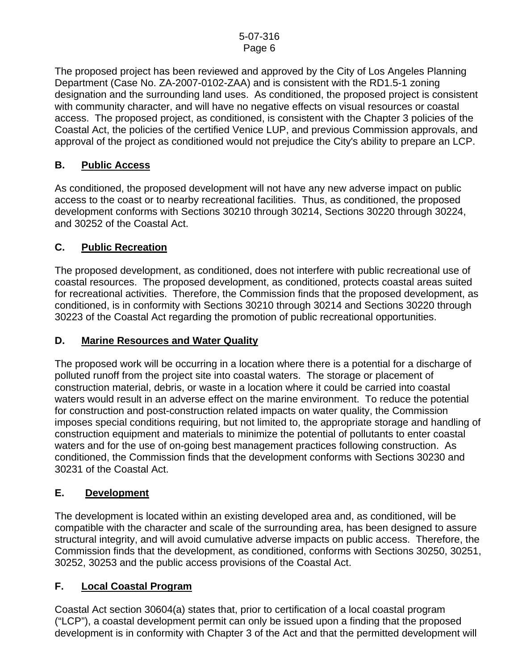The proposed project has been reviewed and approved by the City of Los Angeles Planning Department (Case No. ZA-2007-0102-ZAA) and is consistent with the RD1.5-1 zoning designation and the surrounding land uses. As conditioned, the proposed project is consistent with community character, and will have no negative effects on visual resources or coastal access. The proposed project, as conditioned, is consistent with the Chapter 3 policies of the Coastal Act, the policies of the certified Venice LUP, and previous Commission approvals, and approval of the project as conditioned would not prejudice the City's ability to prepare an LCP.

## **B. Public Access**

As conditioned, the proposed development will not have any new adverse impact on public access to the coast or to nearby recreational facilities. Thus, as conditioned, the proposed development conforms with Sections 30210 through 30214, Sections 30220 through 30224, and 30252 of the Coastal Act.

## **C. Public Recreation**

The proposed development, as conditioned, does not interfere with public recreational use of coastal resources. The proposed development, as conditioned, protects coastal areas suited for recreational activities. Therefore, the Commission finds that the proposed development, as conditioned, is in conformity with Sections 30210 through 30214 and Sections 30220 through 30223 of the Coastal Act regarding the promotion of public recreational opportunities.

## **D. Marine Resources and Water Quality**

The proposed work will be occurring in a location where there is a potential for a discharge of polluted runoff from the project site into coastal waters. The storage or placement of construction material, debris, or waste in a location where it could be carried into coastal waters would result in an adverse effect on the marine environment. To reduce the potential for construction and post-construction related impacts on water quality, the Commission imposes special conditions requiring, but not limited to, the appropriate storage and handling of construction equipment and materials to minimize the potential of pollutants to enter coastal waters and for the use of on-going best management practices following construction. As conditioned, the Commission finds that the development conforms with Sections 30230 and 30231 of the Coastal Act.

## **E. Development**

The development is located within an existing developed area and, as conditioned, will be compatible with the character and scale of the surrounding area, has been designed to assure structural integrity, and will avoid cumulative adverse impacts on public access. Therefore, the Commission finds that the development, as conditioned, conforms with Sections 30250, 30251, 30252, 30253 and the public access provisions of the Coastal Act.

## **F. Local Coastal Program**

Coastal Act section 30604(a) states that, prior to certification of a local coastal program ("LCP"), a coastal development permit can only be issued upon a finding that the proposed development is in conformity with Chapter 3 of the Act and that the permitted development will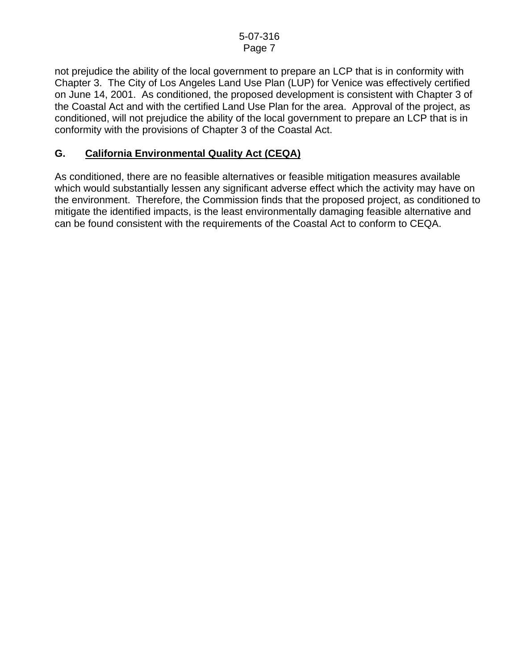not prejudice the ability of the local government to prepare an LCP that is in conformity with Chapter 3. The City of Los Angeles Land Use Plan (LUP) for Venice was effectively certified on June 14, 2001. As conditioned, the proposed development is consistent with Chapter 3 of the Coastal Act and with the certified Land Use Plan for the area. Approval of the project, as conditioned, will not prejudice the ability of the local government to prepare an LCP that is in conformity with the provisions of Chapter 3 of the Coastal Act.

## **G. California Environmental Quality Act (CEQA)**

As conditioned, there are no feasible alternatives or feasible mitigation measures available which would substantially lessen any significant adverse effect which the activity may have on the environment. Therefore, the Commission finds that the proposed project, as conditioned to mitigate the identified impacts, is the least environmentally damaging feasible alternative and can be found consistent with the requirements of the Coastal Act to conform to CEQA.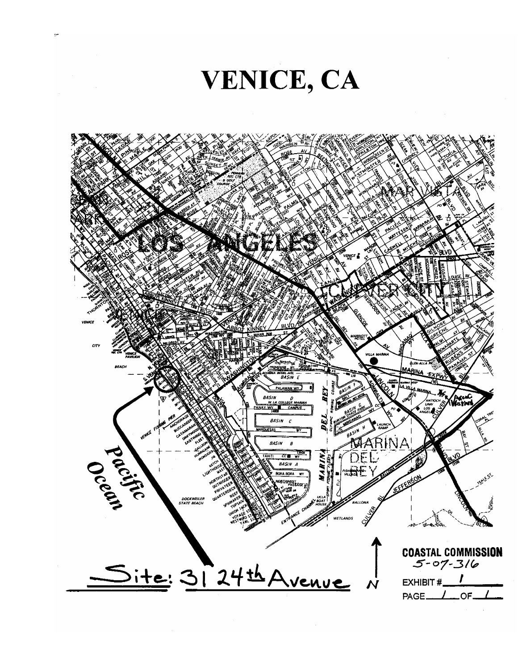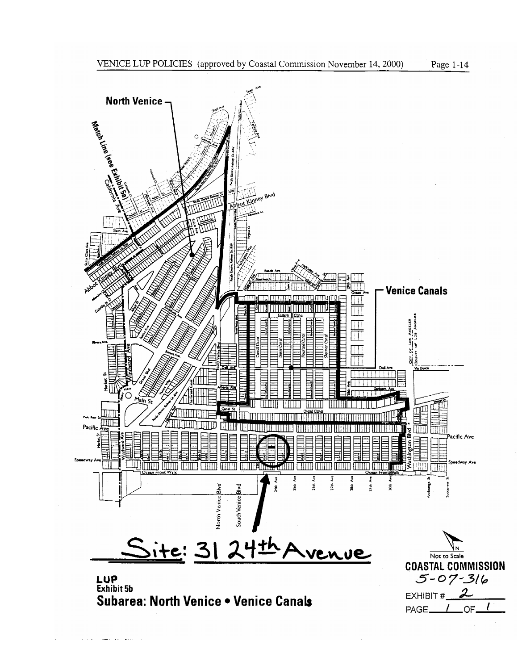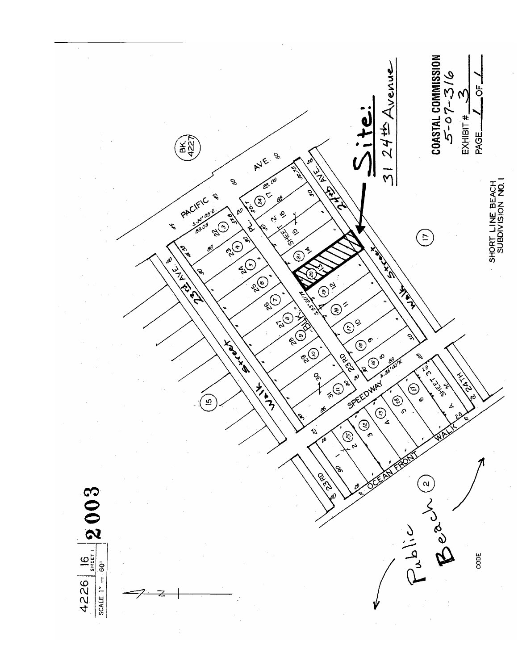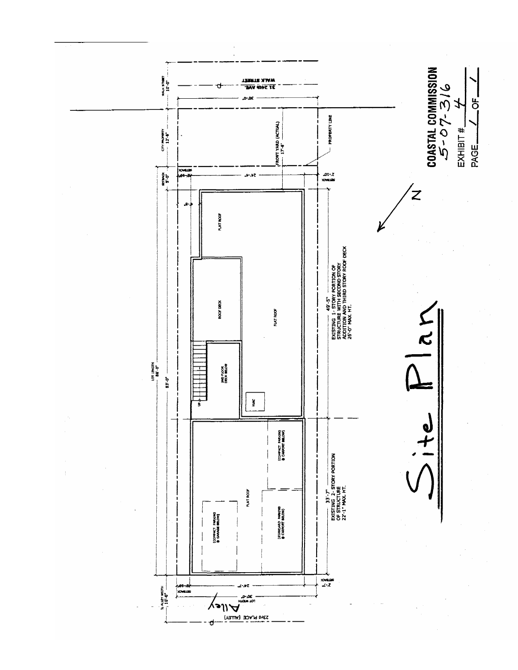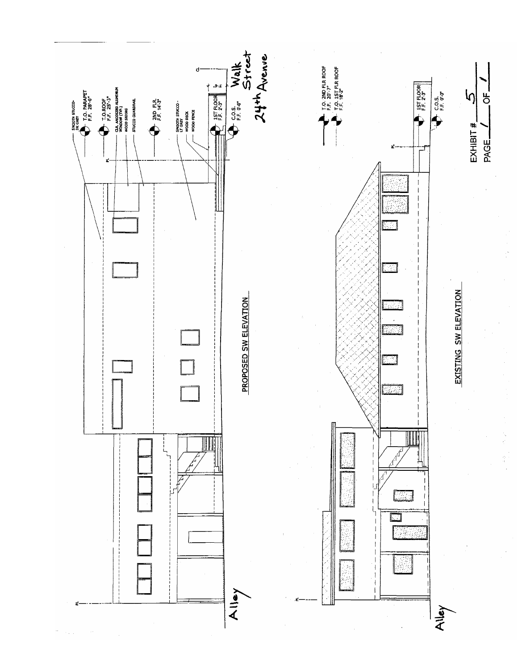